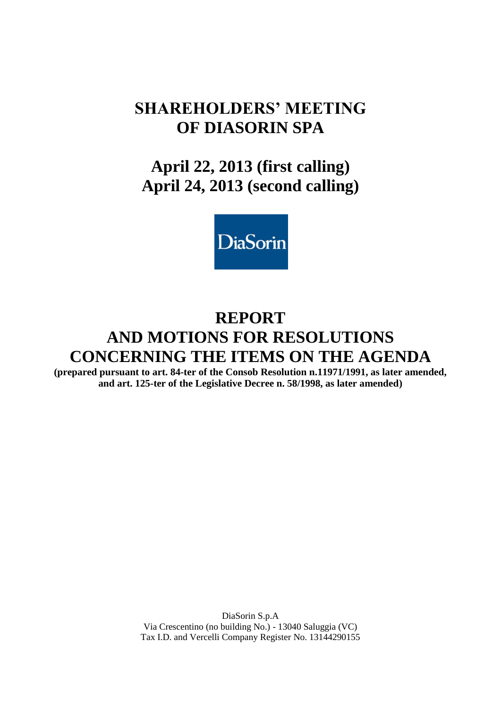# **SHAREHOLDERS' MEETING OF DIASORIN SPA**

# **April 22, 2013 (first calling) April 24, 2013 (second calling)**



# **REPORT AND MOTIONS FOR RESOLUTIONS CONCERNING THE ITEMS ON THE AGENDA**

**(prepared pursuant to art. 84-ter of the Consob Resolution n.11971/1991, as later amended, and art. 125-ter of the Legislative Decree n. 58/1998, as later amended)**

> DiaSorin S.p.A Via Crescentino (no building No.) - 13040 Saluggia (VC) Tax I.D. and Vercelli Company Register No. 13144290155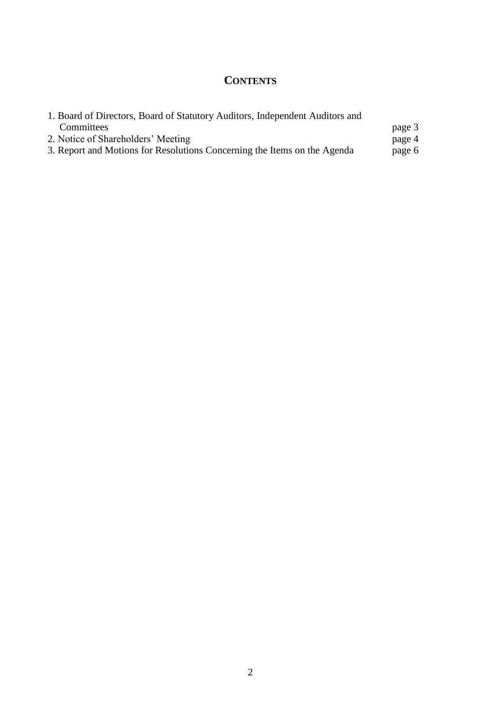# **CONTENTS**

| 1. Board of Directors, Board of Statutory Auditors, Independent Auditors and |        |
|------------------------------------------------------------------------------|--------|
| Committees                                                                   | page 3 |
| 2. Notice of Shareholders' Meeting                                           | page 4 |
| 3. Report and Motions for Resolutions Concerning the Items on the Agenda     | page 6 |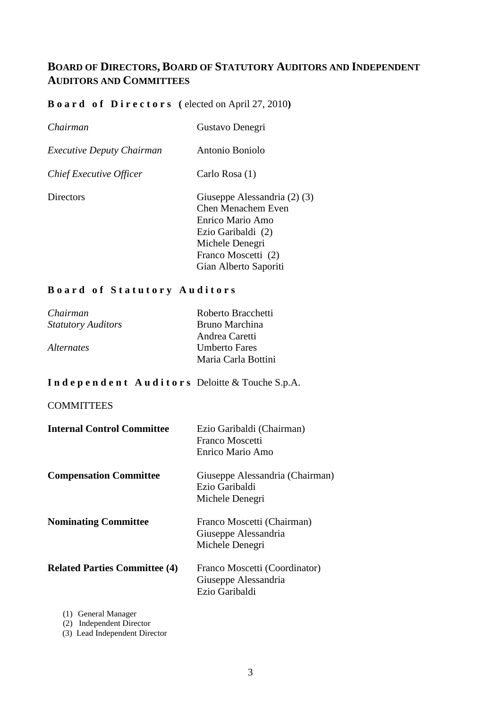# **BOARD OF DIRECTORS, BOARD OF STATUTORY AUDITORS AND INDEPENDENT AUDITORS AND COMMITTEES**

## **B o a r d o f D i r e c t o r s (** elected on April 27, 2010**)**

| Chairman                         | Gustavo Denegri                                                                                                                                                 |
|----------------------------------|-----------------------------------------------------------------------------------------------------------------------------------------------------------------|
| <i>Executive Deputy Chairman</i> | Antonio Boniolo                                                                                                                                                 |
| Chief Executive Officer          | Carlo Rosa (1)                                                                                                                                                  |
| Directors                        | Giuseppe Alessandria (2) (3)<br>Chen Menachem Even<br>Enrico Mario Amo<br>Ezio Garibaldi (2)<br>Michele Denegri<br>Franco Moscetti (2)<br>Gian Alberto Saporiti |

### **B o a r d o f S t a t u t o r y A u d i t o r s**

| Chairman                  | Roberto Bracchetti   |
|---------------------------|----------------------|
| <b>Statutory Auditors</b> | Bruno Marchina       |
|                           | Andrea Caretti       |
| <i>Alternates</i>         | <b>Umberto Fares</b> |
|                           | Maria Carla Bottini  |

## **I n d e p e n d e n t A u d i t o r s** Deloitte & Touche S.p.A.

### **COMMITTEES**

| <b>Internal Control Committee</b>    | Ezio Garibaldi (Chairman)<br>Franco Moscetti<br>Enrico Mario Amo        |
|--------------------------------------|-------------------------------------------------------------------------|
| <b>Compensation Committee</b>        | Giuseppe Alessandria (Chairman)<br>Ezio Garibaldi<br>Michele Denegri    |
| <b>Nominating Committee</b>          | Franco Moscetti (Chairman)<br>Giuseppe Alessandria<br>Michele Denegri   |
| <b>Related Parties Committee (4)</b> | Franco Moscetti (Coordinator)<br>Giuseppe Alessandria<br>Ezio Garibaldi |

(1) General Manager

(2) Independent Director

(3) Lead Independent Director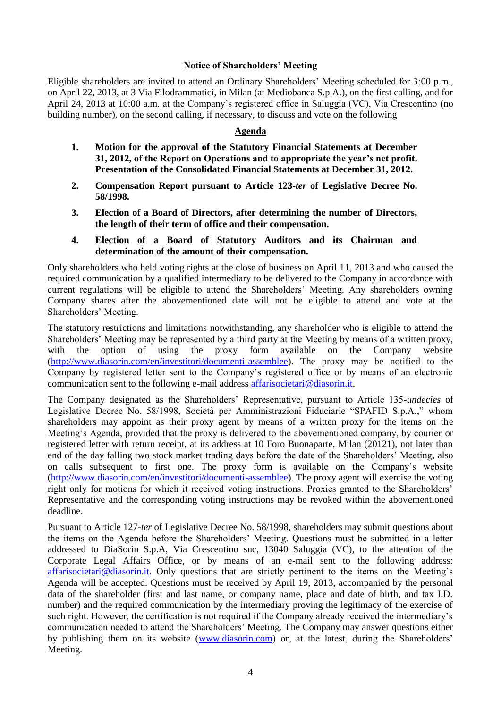#### **Notice of Shareholders' Meeting**

Eligible shareholders are invited to attend an Ordinary Shareholders' Meeting scheduled for 3:00 p.m., on April 22, 2013, at 3 Via Filodrammatici, in Milan (at Mediobanca S.p.A.), on the first calling, and for April 24, 2013 at 10:00 a.m. at the Company's registered office in Saluggia (VC), Via Crescentino (no building number), on the second calling, if necessary, to discuss and vote on the following

#### **Agenda**

- **1. Motion for the approval of the Statutory Financial Statements at December 31, 2012, of the Report on Operations and to appropriate the year's net profit. Presentation of the Consolidated Financial Statements at December 31, 2012.**
- **2. Compensation Report pursuant to Article 123-***ter* **of Legislative Decree No. 58/1998.**
- **3. Election of a Board of Directors, after determining the number of Directors, the length of their term of office and their compensation.**
- **4. Election of a Board of Statutory Auditors and its Chairman and determination of the amount of their compensation.**

Only shareholders who held voting rights at the close of business on April 11, 2013 and who caused the required communication by a qualified intermediary to be delivered to the Company in accordance with current regulations will be eligible to attend the Shareholders' Meeting. Any shareholders owning Company shares after the abovementioned date will not be eligible to attend and vote at the Shareholders' Meeting.

The statutory restrictions and limitations notwithstanding, any shareholder who is eligible to attend the Shareholders' Meeting may be represented by a third party at the Meeting by means of a written proxy, with the option of using the proxy form available on the Company website [\(http://www.diasorin.com/en/investitori/documenti-assemblee\)](http://www.diasorin.com/en/investitori/documenti-assemblee). The proxy may be notified to the Company by registered letter sent to the Company's registered office or by means of an electronic communication sent to the following e-mail address [affarisocietari@diasorin.it.](mailto:affarisocietari@diasorin.it)

The Company designated as the Shareholders' Representative, pursuant to Article 135-*undecies* of Legislative Decree No. 58/1998, Società per Amministrazioni Fiduciarie "SPAFID S.p.A.," whom shareholders may appoint as their proxy agent by means of a written proxy for the items on the Meeting's Agenda, provided that the proxy is delivered to the abovementioned company, by courier or registered letter with return receipt, at its address at 10 Foro Buonaparte, Milan (20121), not later than end of the day falling two stock market trading days before the date of the Shareholders' Meeting, also on calls subsequent to first one. The proxy form is available on the Company's website [\(http://www.diasorin.com/en/investitori/documenti-assemblee\)](http://www.diasorin.com/en/investitori/documenti-assemblee). The proxy agent will exercise the voting right only for motions for which it received voting instructions. Proxies granted to the Shareholders' Representative and the corresponding voting instructions may be revoked within the abovementioned deadline.

Pursuant to Article 127*-ter* of Legislative Decree No. 58/1998, shareholders may submit questions about the items on the Agenda before the Shareholders' Meeting. Questions must be submitted in a letter addressed to DiaSorin S.p.A, Via Crescentino snc, 13040 Saluggia (VC), to the attention of the Corporate Legal Affairs Office, or by means of an e-mail sent to the following address: [affarisocietari@diasorin.it.](mailto:affarisocietari@diasorin.it) Only questions that are strictly pertinent to the items on the Meeting's Agenda will be accepted. Questions must be received by April 19, 2013, accompanied by the personal data of the shareholder (first and last name, or company name, place and date of birth, and tax I.D. number) and the required communication by the intermediary proving the legitimacy of the exercise of such right. However, the certification is not required if the Company already received the intermediary's communication needed to attend the Shareholders' Meeting. The Company may answer questions either by publishing them on its website [\(www.diasorin.com\)](http://www.diasorin.com/) or, at the latest, during the Shareholders' Meeting.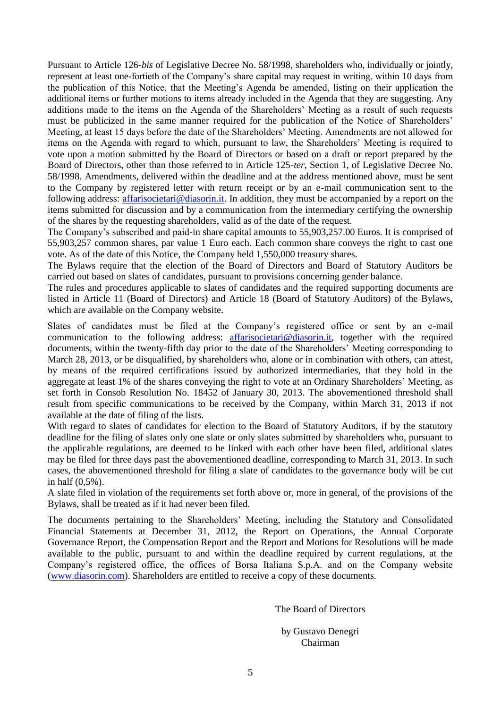Pursuant to Article 126-*bis* of Legislative Decree No. 58/1998, shareholders who, individually or jointly, represent at least one-fortieth of the Company's share capital may request in writing, within 10 days from the publication of this Notice, that the Meeting's Agenda be amended, listing on their application the additional items or further motions to items already included in the Agenda that they are suggesting. Any additions made to the items on the Agenda of the Shareholders' Meeting as a result of such requests must be publicized in the same manner required for the publication of the Notice of Shareholders' Meeting, at least 15 days before the date of the Shareholders' Meeting. Amendments are not allowed for items on the Agenda with regard to which, pursuant to law, the Shareholders' Meeting is required to vote upon a motion submitted by the Board of Directors or based on a draft or report prepared by the Board of Directors, other than those referred to in Article 125-*ter*, Section 1, of Legislative Decree No. 58/1998. Amendments, delivered within the deadline and at the address mentioned above, must be sent to the Company by registered letter with return receipt or by an e-mail communication sent to the following address: [affarisocietari@diasorin.it.](mailto:affarisocietari@diasorin.it) In addition, they must be accompanied by a report on the items submitted for discussion and by a communication from the intermediary certifying the ownership of the shares by the requesting shareholders, valid as of the date of the request.

The Company's subscribed and paid-in share capital amounts to 55,903,257.00 Euros. It is comprised of 55,903,257 common shares, par value 1 Euro each. Each common share conveys the right to cast one vote. As of the date of this Notice, the Company held 1,550,000 treasury shares.

The Bylaws require that the election of the Board of Directors and Board of Statutory Auditors be carried out based on slates of candidates, pursuant to provisions concerning gender balance.

The rules and procedures applicable to slates of candidates and the required supporting documents are listed in Article 11 (Board of Directors) and Article 18 (Board of Statutory Auditors) of the Bylaws, which are available on the Company website.

Slates of candidates must be filed at the Company's registered office or sent by an e-mail communication to the following address: [affarisocietari@diasorin.it,](mailto:affarisocietari@diasorin.it) together with the required documents, within the twenty-fifth day prior to the date of the Shareholders' Meeting corresponding to March 28, 2013, or be disqualified, by shareholders who, alone or in combination with others, can attest, by means of the required certifications issued by authorized intermediaries, that they hold in the aggregate at least 1% of the shares conveying the right to vote at an Ordinary Shareholders' Meeting, as set forth in Consob Resolution No. 18452 of January 30, 2013. The abovementioned threshold shall result from specific communications to be received by the Company, within March 31, 2013 if not available at the date of filing of the lists.

With regard to slates of candidates for election to the Board of Statutory Auditors, if by the statutory deadline for the filing of slates only one slate or only slates submitted by shareholders who, pursuant to the applicable regulations, are deemed to be linked with each other have been filed, additional slates may be filed for three days past the abovementioned deadline, corresponding to March 31, 2013. In such cases, the abovementioned threshold for filing a slate of candidates to the governance body will be cut in half (0,5%).

A slate filed in violation of the requirements set forth above or, more in general, of the provisions of the Bylaws, shall be treated as if it had never been filed.

The documents pertaining to the Shareholders' Meeting, including the Statutory and Consolidated Financial Statements at December 31, 2012, the Report on Operations, the Annual Corporate Governance Report, the Compensation Report and the Report and Motions for Resolutions will be made available to the public, pursuant to and within the deadline required by current regulations, at the Company's registered office, the offices of Borsa Italiana S.p.A. and on the Company website [\(www.diasorin.com\)](http://www.diasorin.com/). Shareholders are entitled to receive a copy of these documents.

The Board of Directors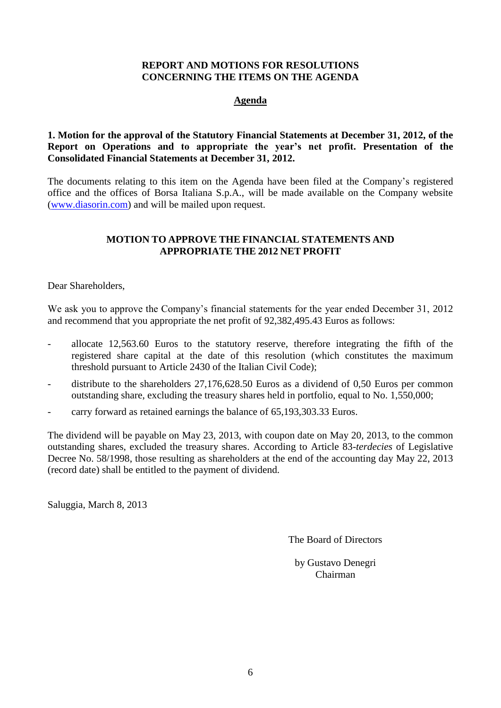### **REPORT AND MOTIONS FOR RESOLUTIONS CONCERNING THE ITEMS ON THE AGENDA**

### **Agenda**

#### **1. Motion for the approval of the Statutory Financial Statements at December 31, 2012, of the Report on Operations and to appropriate the year's net profit. Presentation of the Consolidated Financial Statements at December 31, 2012.**

The documents relating to this item on the Agenda have been filed at the Company's registered office and the offices of Borsa Italiana S.p.A., will be made available on the Company website [\(www.diasorin.com\)](http://www.diasorin.com/) and will be mailed upon request.

#### **MOTION TO APPROVE THE FINANCIAL STATEMENTS AND APPROPRIATE THE 2012 NET PROFIT**

Dear Shareholders,

We ask you to approve the Company's financial statements for the year ended December 31, 2012 and recommend that you appropriate the net profit of 92,382,495.43 Euros as follows:

- allocate 12,563.60 Euros to the statutory reserve, therefore integrating the fifth of the registered share capital at the date of this resolution (which constitutes the maximum threshold pursuant to Article 2430 of the Italian Civil Code);
- distribute to the shareholders 27,176,628.50 Euros as a dividend of 0,50 Euros per common outstanding share, excluding the treasury shares held in portfolio, equal to No. 1,550,000;
- carry forward as retained earnings the balance of 65,193,303.33 Euros.

The dividend will be payable on May 23, 2013, with coupon date on May 20, 2013, to the common outstanding shares, excluded the treasury shares. According to Article 83-*terdecies* of Legislative Decree No. 58/1998, those resulting as shareholders at the end of the accounting day May 22, 2013 (record date) shall be entitled to the payment of dividend.

Saluggia, March 8, 2013

The Board of Directors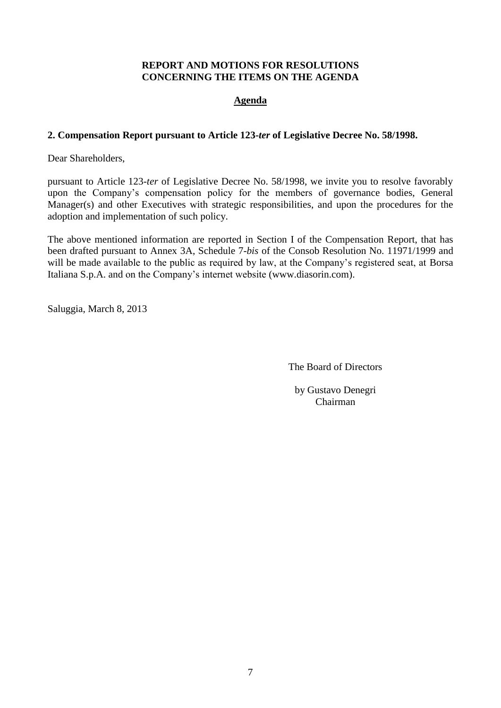### **REPORT AND MOTIONS FOR RESOLUTIONS CONCERNING THE ITEMS ON THE AGENDA**

## **Agenda**

#### **2. Compensation Report pursuant to Article 123-***ter* **of Legislative Decree No. 58/1998.**

Dear Shareholders,

pursuant to Article 123-*ter* of Legislative Decree No. 58/1998, we invite you to resolve favorably upon the Company's compensation policy for the members of governance bodies, General Manager(s) and other Executives with strategic responsibilities, and upon the procedures for the adoption and implementation of such policy.

The above mentioned information are reported in Section I of the Compensation Report, that has been drafted pursuant to Annex 3A, Schedule 7-*bis* of the Consob Resolution No. 11971/1999 and will be made available to the public as required by law, at the Company's registered seat, at Borsa Italiana S.p.A. and on the Company's internet website (www.diasorin.com).

Saluggia, March 8, 2013

The Board of Directors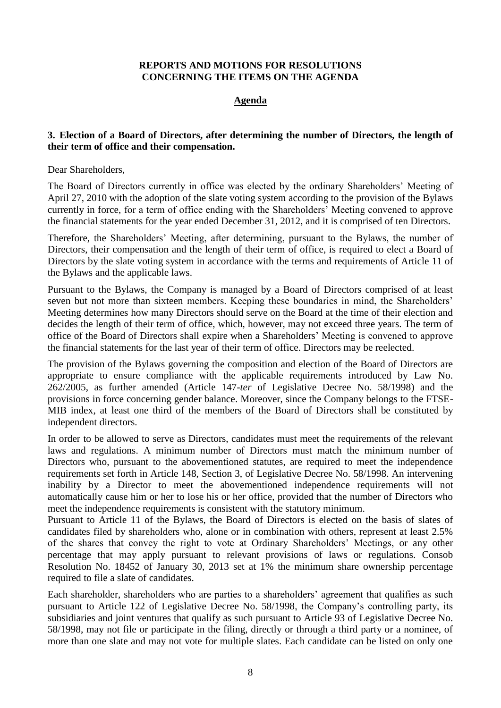#### **REPORTS AND MOTIONS FOR RESOLUTIONS CONCERNING THE ITEMS ON THE AGENDA**

#### **Agenda**

#### **3. Election of a Board of Directors, after determining the number of Directors, the length of their term of office and their compensation.**

Dear Shareholders,

The Board of Directors currently in office was elected by the ordinary Shareholders' Meeting of April 27, 2010 with the adoption of the slate voting system according to the provision of the Bylaws currently in force, for a term of office ending with the Shareholders' Meeting convened to approve the financial statements for the year ended December 31, 2012, and it is comprised of ten Directors.

Therefore, the Shareholders' Meeting, after determining, pursuant to the Bylaws, the number of Directors, their compensation and the length of their term of office, is required to elect a Board of Directors by the slate voting system in accordance with the terms and requirements of Article 11 of the Bylaws and the applicable laws.

Pursuant to the Bylaws, the Company is managed by a Board of Directors comprised of at least seven but not more than sixteen members. Keeping these boundaries in mind, the Shareholders' Meeting determines how many Directors should serve on the Board at the time of their election and decides the length of their term of office, which, however, may not exceed three years. The term of office of the Board of Directors shall expire when a Shareholders' Meeting is convened to approve the financial statements for the last year of their term of office. Directors may be reelected.

The provision of the Bylaws governing the composition and election of the Board of Directors are appropriate to ensure compliance with the applicable requirements introduced by Law No. 262/2005, as further amended (Article 147-*ter* of Legislative Decree No. 58/1998) and the provisions in force concerning gender balance. Moreover, since the Company belongs to the FTSE-MIB index, at least one third of the members of the Board of Directors shall be constituted by independent directors.

In order to be allowed to serve as Directors, candidates must meet the requirements of the relevant laws and regulations. A minimum number of Directors must match the minimum number of Directors who, pursuant to the abovementioned statutes, are required to meet the independence requirements set forth in Article 148, Section 3, of Legislative Decree No. 58/1998. An intervening inability by a Director to meet the abovementioned independence requirements will not automatically cause him or her to lose his or her office, provided that the number of Directors who meet the independence requirements is consistent with the statutory minimum.

Pursuant to Article 11 of the Bylaws, the Board of Directors is elected on the basis of slates of candidates filed by shareholders who, alone or in combination with others, represent at least 2.5% of the shares that convey the right to vote at Ordinary Shareholders' Meetings, or any other percentage that may apply pursuant to relevant provisions of laws or regulations. Consob Resolution No. 18452 of January 30, 2013 set at 1% the minimum share ownership percentage required to file a slate of candidates.

Each shareholder, shareholders who are parties to a shareholders' agreement that qualifies as such pursuant to Article 122 of Legislative Decree No. 58/1998, the Company's controlling party, its subsidiaries and joint ventures that qualify as such pursuant to Article 93 of Legislative Decree No. 58/1998, may not file or participate in the filing, directly or through a third party or a nominee, of more than one slate and may not vote for multiple slates. Each candidate can be listed on only one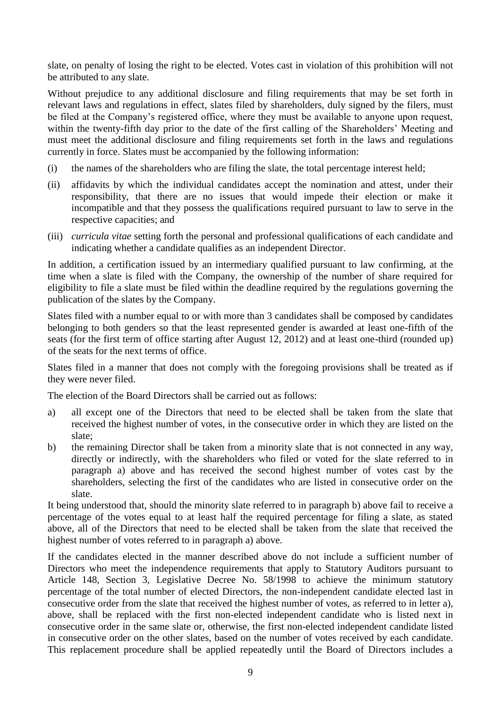slate, on penalty of losing the right to be elected. Votes cast in violation of this prohibition will not be attributed to any slate.

Without prejudice to any additional disclosure and filing requirements that may be set forth in relevant laws and regulations in effect, slates filed by shareholders, duly signed by the filers, must be filed at the Company's registered office, where they must be available to anyone upon request, within the twenty-fifth day prior to the date of the first calling of the Shareholders' Meeting and must meet the additional disclosure and filing requirements set forth in the laws and regulations currently in force. Slates must be accompanied by the following information:

- (i) the names of the shareholders who are filing the slate, the total percentage interest held;
- (ii) affidavits by which the individual candidates accept the nomination and attest, under their responsibility, that there are no issues that would impede their election or make it incompatible and that they possess the qualifications required pursuant to law to serve in the respective capacities; and
- (iii) *curricula vitae* setting forth the personal and professional qualifications of each candidate and indicating whether a candidate qualifies as an independent Director.

In addition, a certification issued by an intermediary qualified pursuant to law confirming, at the time when a slate is filed with the Company, the ownership of the number of share required for eligibility to file a slate must be filed within the deadline required by the regulations governing the publication of the slates by the Company.

Slates filed with a number equal to or with more than 3 candidates shall be composed by candidates belonging to both genders so that the least represented gender is awarded at least one-fifth of the seats (for the first term of office starting after August 12, 2012) and at least one-third (rounded up) of the seats for the next terms of office.

Slates filed in a manner that does not comply with the foregoing provisions shall be treated as if they were never filed.

The election of the Board Directors shall be carried out as follows:

- a) all except one of the Directors that need to be elected shall be taken from the slate that received the highest number of votes, in the consecutive order in which they are listed on the slate;
- b) the remaining Director shall be taken from a minority slate that is not connected in any way, directly or indirectly, with the shareholders who filed or voted for the slate referred to in paragraph a) above and has received the second highest number of votes cast by the shareholders, selecting the first of the candidates who are listed in consecutive order on the slate.

It being understood that, should the minority slate referred to in paragraph b) above fail to receive a percentage of the votes equal to at least half the required percentage for filing a slate, as stated above, all of the Directors that need to be elected shall be taken from the slate that received the highest number of votes referred to in paragraph a) above.

If the candidates elected in the manner described above do not include a sufficient number of Directors who meet the independence requirements that apply to Statutory Auditors pursuant to Article 148, Section 3, Legislative Decree No. 58/1998 to achieve the minimum statutory percentage of the total number of elected Directors, the non-independent candidate elected last in consecutive order from the slate that received the highest number of votes, as referred to in letter a), above, shall be replaced with the first non-elected independent candidate who is listed next in consecutive order in the same slate or, otherwise, the first non-elected independent candidate listed in consecutive order on the other slates, based on the number of votes received by each candidate. This replacement procedure shall be applied repeatedly until the Board of Directors includes a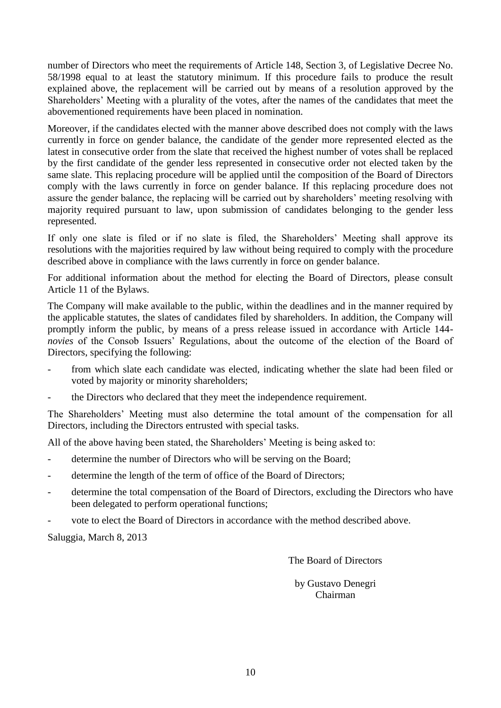number of Directors who meet the requirements of Article 148, Section 3, of Legislative Decree No. 58/1998 equal to at least the statutory minimum. If this procedure fails to produce the result explained above, the replacement will be carried out by means of a resolution approved by the Shareholders' Meeting with a plurality of the votes, after the names of the candidates that meet the abovementioned requirements have been placed in nomination.

Moreover, if the candidates elected with the manner above described does not comply with the laws currently in force on gender balance, the candidate of the gender more represented elected as the latest in consecutive order from the slate that received the highest number of votes shall be replaced by the first candidate of the gender less represented in consecutive order not elected taken by the same slate. This replacing procedure will be applied until the composition of the Board of Directors comply with the laws currently in force on gender balance. If this replacing procedure does not assure the gender balance, the replacing will be carried out by shareholders' meeting resolving with majority required pursuant to law, upon submission of candidates belonging to the gender less represented.

If only one slate is filed or if no slate is filed, the Shareholders' Meeting shall approve its resolutions with the majorities required by law without being required to comply with the procedure described above in compliance with the laws currently in force on gender balance.

For additional information about the method for electing the Board of Directors, please consult Article 11 of the Bylaws.

The Company will make available to the public, within the deadlines and in the manner required by the applicable statutes, the slates of candidates filed by shareholders. In addition, the Company will promptly inform the public, by means of a press release issued in accordance with Article 144 *novies* of the Consob Issuers' Regulations, about the outcome of the election of the Board of Directors, specifying the following:

- from which slate each candidate was elected, indicating whether the slate had been filed or voted by majority or minority shareholders;
- the Directors who declared that they meet the independence requirement.

The Shareholders' Meeting must also determine the total amount of the compensation for all Directors, including the Directors entrusted with special tasks.

All of the above having been stated, the Shareholders' Meeting is being asked to:

- determine the number of Directors who will be serving on the Board;
- determine the length of the term of office of the Board of Directors;
- determine the total compensation of the Board of Directors, excluding the Directors who have been delegated to perform operational functions;
- vote to elect the Board of Directors in accordance with the method described above.

Saluggia, March 8, 2013

The Board of Directors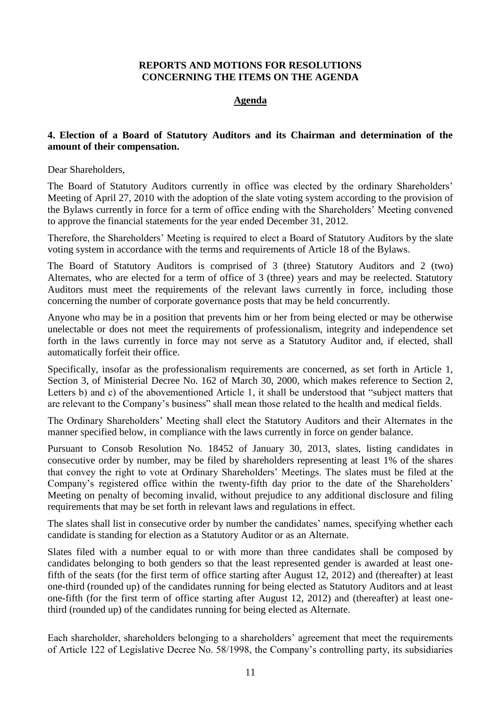### **REPORTS AND MOTIONS FOR RESOLUTIONS CONCERNING THE ITEMS ON THE AGENDA**

#### **Agenda**

#### **4. Election of a Board of Statutory Auditors and its Chairman and determination of the amount of their compensation.**

Dear Shareholders,

The Board of Statutory Auditors currently in office was elected by the ordinary Shareholders' Meeting of April 27, 2010 with the adoption of the slate voting system according to the provision of the Bylaws currently in force for a term of office ending with the Shareholders' Meeting convened to approve the financial statements for the year ended December 31, 2012.

Therefore, the Shareholders' Meeting is required to elect a Board of Statutory Auditors by the slate voting system in accordance with the terms and requirements of Article 18 of the Bylaws.

The Board of Statutory Auditors is comprised of 3 (three) Statutory Auditors and 2 (two) Alternates, who are elected for a term of office of 3 (three) years and may be reelected. Statutory Auditors must meet the requirements of the relevant laws currently in force, including those concerning the number of corporate governance posts that may be held concurrently.

Anyone who may be in a position that prevents him or her from being elected or may be otherwise unelectable or does not meet the requirements of professionalism, integrity and independence set forth in the laws currently in force may not serve as a Statutory Auditor and, if elected, shall automatically forfeit their office.

Specifically, insofar as the professionalism requirements are concerned, as set forth in Article 1, Section 3, of Ministerial Decree No. 162 of March 30, 2000, which makes reference to Section 2, Letters b) and c) of the abovementioned Article 1, it shall be understood that "subject matters that are relevant to the Company's business" shall mean those related to the health and medical fields.

The Ordinary Shareholders' Meeting shall elect the Statutory Auditors and their Alternates in the manner specified below, in compliance with the laws currently in force on gender balance.

Pursuant to Consob Resolution No. 18452 of January 30, 2013, slates, listing candidates in consecutive order by number, may be filed by shareholders representing at least 1% of the shares that convey the right to vote at Ordinary Shareholders' Meetings. The slates must be filed at the Company's registered office within the twenty-fifth day prior to the date of the Shareholders' Meeting on penalty of becoming invalid, without prejudice to any additional disclosure and filing requirements that may be set forth in relevant laws and regulations in effect.

The slates shall list in consecutive order by number the candidates' names, specifying whether each candidate is standing for election as a Statutory Auditor or as an Alternate.

Slates filed with a number equal to or with more than three candidates shall be composed by candidates belonging to both genders so that the least represented gender is awarded at least onefifth of the seats (for the first term of office starting after August 12, 2012) and (thereafter) at least one-third (rounded up) of the candidates running for being elected as Statutory Auditors and at least one-fifth (for the first term of office starting after August 12, 2012) and (thereafter) at least onethird (rounded up) of the candidates running for being elected as Alternate.

Each shareholder, shareholders belonging to a shareholders' agreement that meet the requirements of Article 122 of Legislative Decree No. 58/1998, the Company's controlling party, its subsidiaries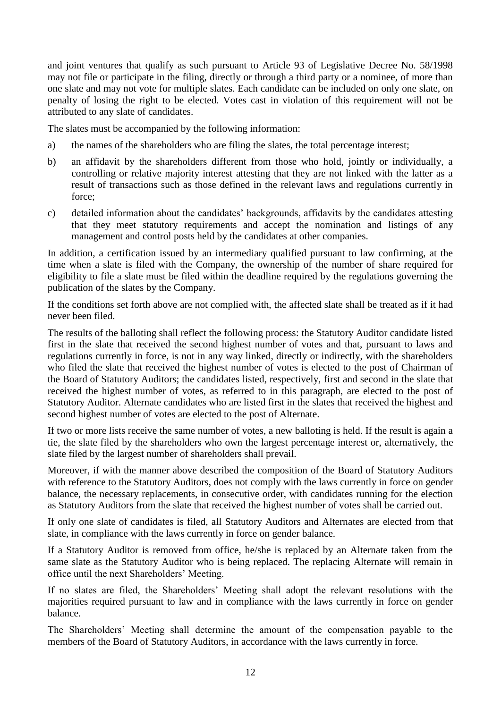and joint ventures that qualify as such pursuant to Article 93 of Legislative Decree No. 58/1998 may not file or participate in the filing, directly or through a third party or a nominee, of more than one slate and may not vote for multiple slates. Each candidate can be included on only one slate, on penalty of losing the right to be elected. Votes cast in violation of this requirement will not be attributed to any slate of candidates.

The slates must be accompanied by the following information:

- a) the names of the shareholders who are filing the slates, the total percentage interest;
- b) an affidavit by the shareholders different from those who hold, jointly or individually, a controlling or relative majority interest attesting that they are not linked with the latter as a result of transactions such as those defined in the relevant laws and regulations currently in force;
- c) detailed information about the candidates' backgrounds, affidavits by the candidates attesting that they meet statutory requirements and accept the nomination and listings of any management and control posts held by the candidates at other companies.

In addition, a certification issued by an intermediary qualified pursuant to law confirming, at the time when a slate is filed with the Company, the ownership of the number of share required for eligibility to file a slate must be filed within the deadline required by the regulations governing the publication of the slates by the Company.

If the conditions set forth above are not complied with, the affected slate shall be treated as if it had never been filed.

The results of the balloting shall reflect the following process: the Statutory Auditor candidate listed first in the slate that received the second highest number of votes and that, pursuant to laws and regulations currently in force, is not in any way linked, directly or indirectly, with the shareholders who filed the slate that received the highest number of votes is elected to the post of Chairman of the Board of Statutory Auditors; the candidates listed, respectively, first and second in the slate that received the highest number of votes, as referred to in this paragraph, are elected to the post of Statutory Auditor. Alternate candidates who are listed first in the slates that received the highest and second highest number of votes are elected to the post of Alternate.

If two or more lists receive the same number of votes, a new balloting is held. If the result is again a tie, the slate filed by the shareholders who own the largest percentage interest or, alternatively, the slate filed by the largest number of shareholders shall prevail.

Moreover, if with the manner above described the composition of the Board of Statutory Auditors with reference to the Statutory Auditors, does not comply with the laws currently in force on gender balance, the necessary replacements, in consecutive order, with candidates running for the election as Statutory Auditors from the slate that received the highest number of votes shall be carried out.

If only one slate of candidates is filed, all Statutory Auditors and Alternates are elected from that slate, in compliance with the laws currently in force on gender balance.

If a Statutory Auditor is removed from office, he/she is replaced by an Alternate taken from the same slate as the Statutory Auditor who is being replaced. The replacing Alternate will remain in office until the next Shareholders' Meeting.

If no slates are filed, the Shareholders' Meeting shall adopt the relevant resolutions with the majorities required pursuant to law and in compliance with the laws currently in force on gender balance.

The Shareholders' Meeting shall determine the amount of the compensation payable to the members of the Board of Statutory Auditors, in accordance with the laws currently in force.